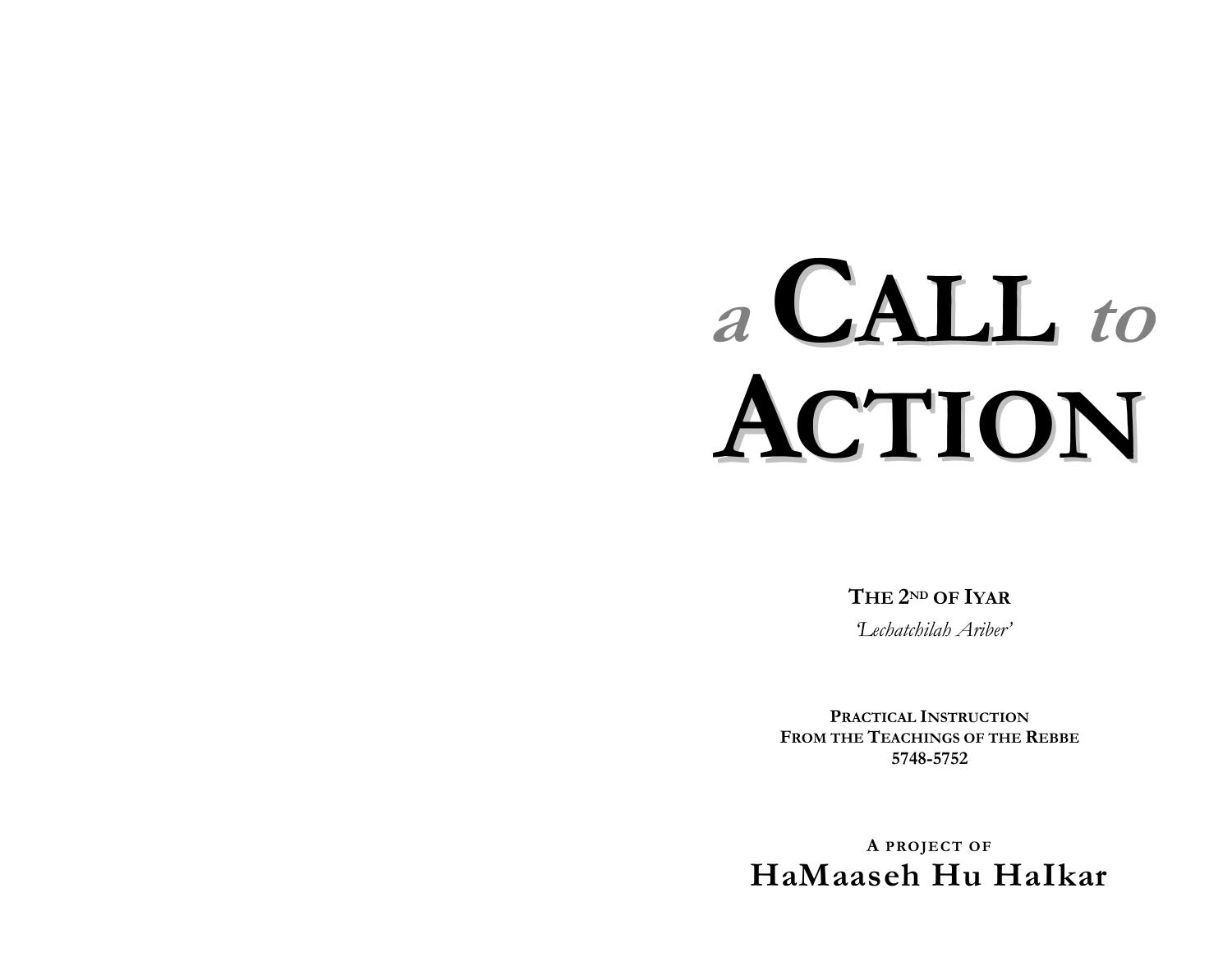# a CALL to CTION

THE 2ND OF IYAR

Techatchilah Ariber'

PRACTICAL INSTRUCTION FROM THE TEACHINGS OF THE REBBE 5748-5752

A PROJECT OF HaMaaseh Hu Halkar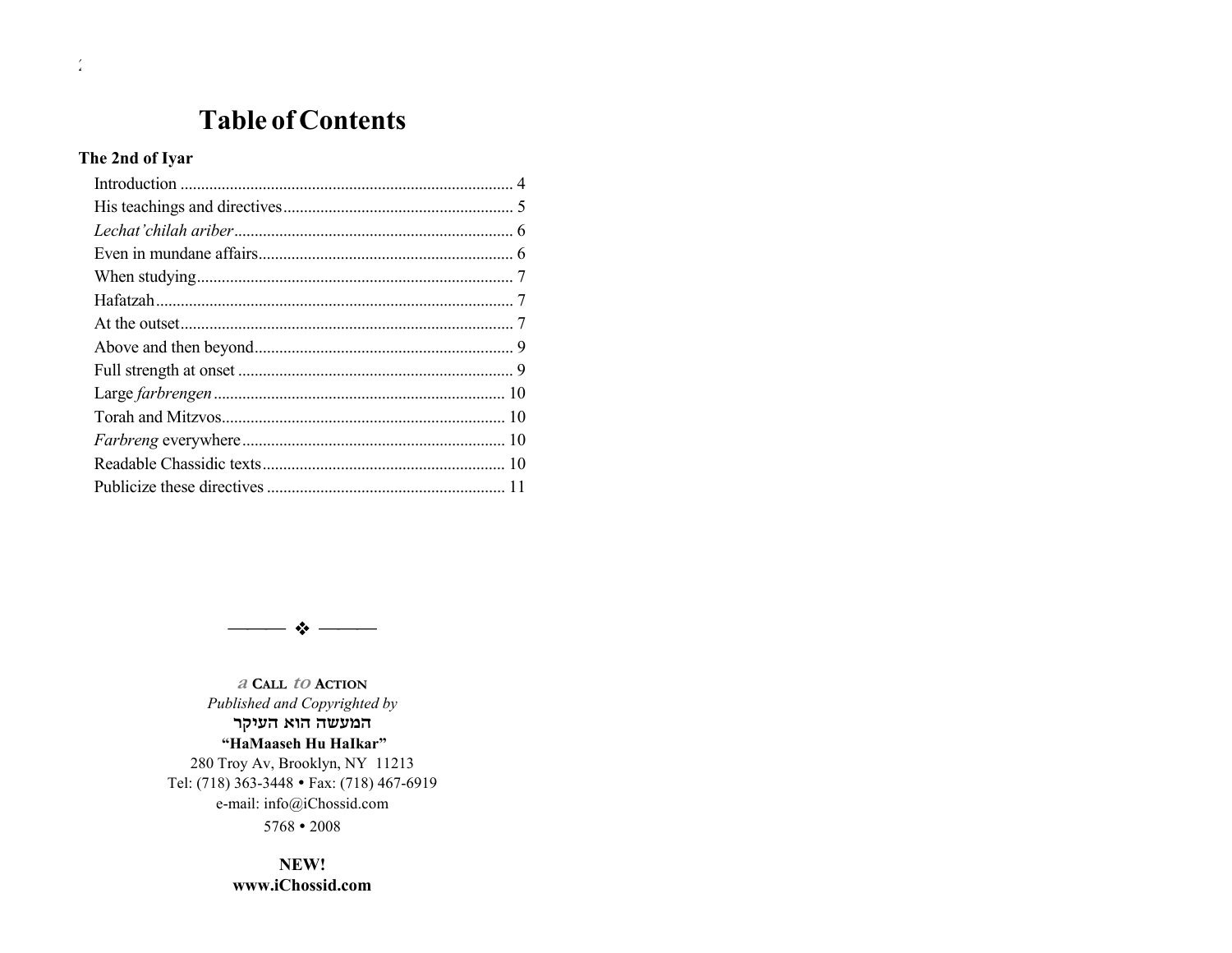## **Table of Contents**

#### The 2nd of Iyar

 $\frac{1}{2}$ 



a Call to Action Published and Copyrighted by המעשה הוא העיקר "HaMaaseh Hu HaIkar" 280 Troy Av, Brooklyn, NY 11213 Tel: (718) 363-3448 • Fax: (718) 467-6919 e-mail: info@iChossid.com  $5768 \cdot 2008$ 

> NEW! www.iChossid.com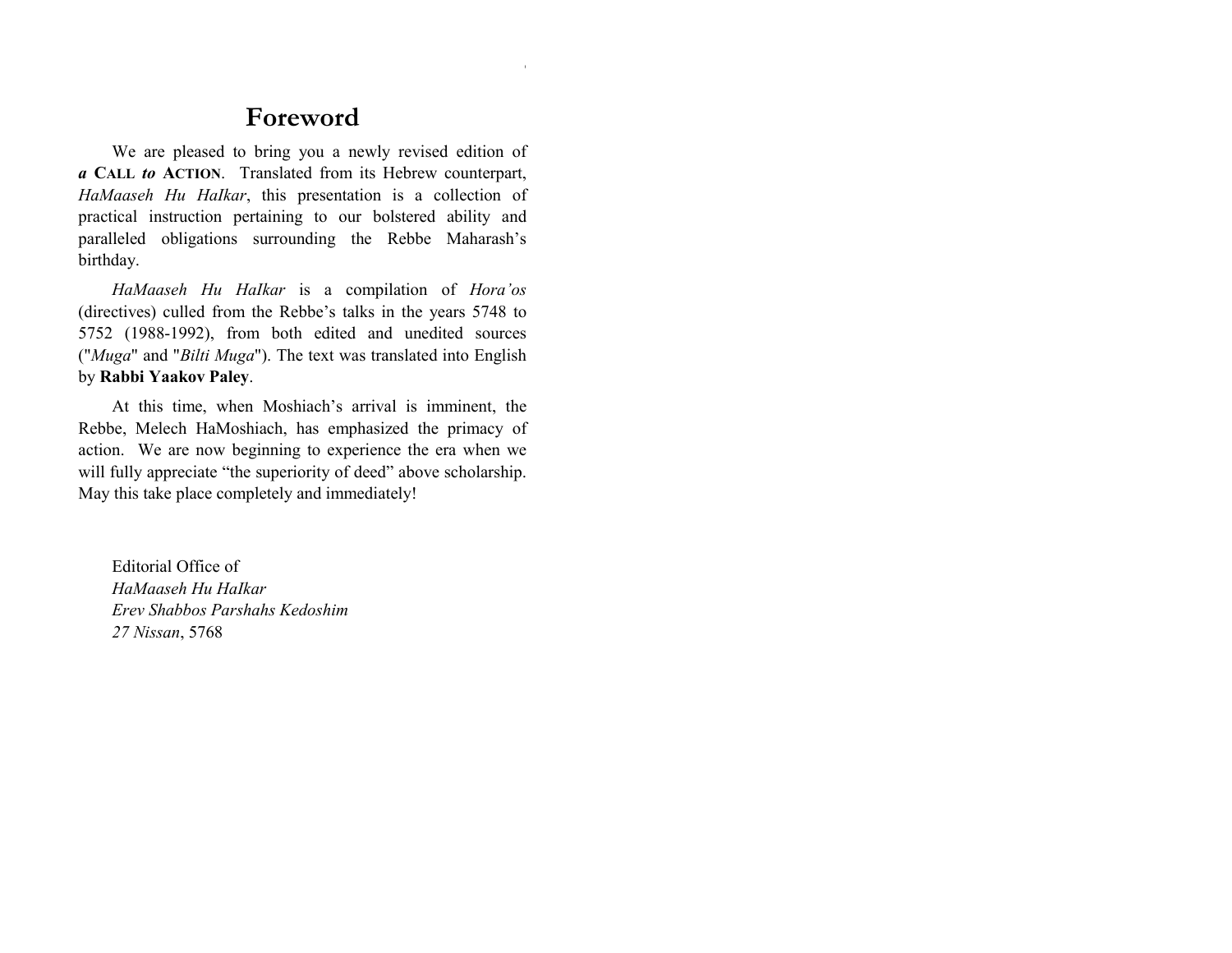### **Foreword**

We are pleased to bring you a newly revised edition of *a* **CALL** *to* **ACTION**. Translated from its Hebrew counterpart, *HaMaaseh Hu HaIkar*, this presentation is a collection of practical instruction pertaining to our bolstered ability and paralleled obligations surrounding the Rebbe Maharash's birthday.

*HaMaaseh Hu HaIkar* is a compilation of *Horaíos* (directives) culled from the Rebbe's talks in the years 5748 to 5752 (1988-1992), from both edited and unedited sources ("*Muga*" and "*Bilti Muga*"). The text was translated into English by **Rabbi Yaakov Paley**.

At this time, when Moshiach's arrival is imminent, the Rebbe, Melech HaMoshiach, has emphasized the primacy of action. We are now beginning to experience the era when we will fully appreciate "the superiority of deed" above scholarship. May this take place completely and immediately!

Editorial Office of *HaMaaseh Hu HaIkar Erev Shabbos Parshahs Kedoshim 27 Nissan*, 5768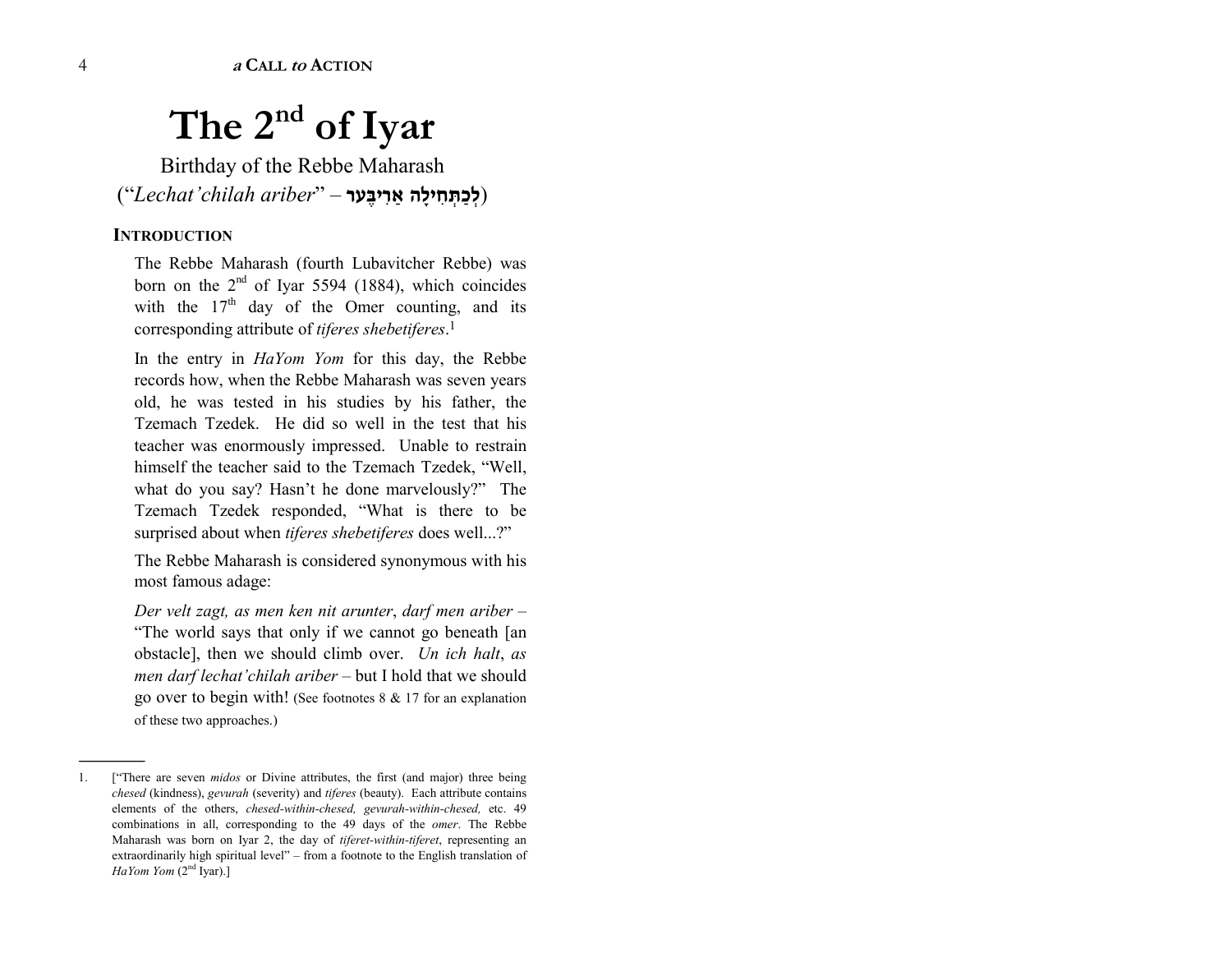# **The 2nd of Iyar**

Birthday of the Rebbe Maharash (ì*Lechatíchilah ariber*<sup>î</sup> *ñ* **Ø⁄∆a»ÉØá â ´ ªœ»£Ézø´Œøœ**)

#### **INTRODUCTION**

------------------------------------------------

The Rebbe Maharash (fourth Lubavitcher Rebbe) was born on the  $2<sup>nd</sup>$  of Iyar 5594 (1884), which coincides with the  $17<sup>th</sup>$  day of the Omer counting, and its corresponding attribute of *tiferes shebetiferes*.<sup>1</sup>

In the entry in *HaYom Yom* for this day, the Rebbe records how, when the Rebbe Maharash was seven years old, he was tested in his studies by his father, the Tzemach Tzedek. He did so well in the test that his teacher was enormously impressed. Unable to restrain himself the teacher said to the Tzemach Tzedek, "Well, what do you say? Hasn't he done marvelously?" The Tzemach Tzedek responded, "What is there to be surprised about when *tiferes* shebetiferes does well...?"

The Rebbe Maharash is considered synonymous with his most famous adage:

*Der velt zagt, as men ken nit arunter, darf men ariber* – "The world says that only if we cannot go beneath [an obstacle], then we should climb over. *Un ich halt*, *as men darf lechat'chilah ariber* – but I hold that we should go over to begin with! (See footnotes 8 & 17 for an explanation of these two approaches.)

<sup>1. [&</sup>quot;There are seven *midos* or Divine attributes, the first (and major) three being *chesed* (kindness), *gevurah* (severity) and *tiferes* (beauty). Each attribute contains elements of the others, *chesed-within-chesed, gevurah-within-chesed,* etc. 49 combinations in all, corresponding to the 49 days of the *omer*. The Rebbe Maharash was born on Iyar 2, the day of *tiferet-within-tiferet*, representing an extraordinarily high spiritual level"  $-$  from a footnote to the English translation of *HaYom Yom* (2nd Iyar).]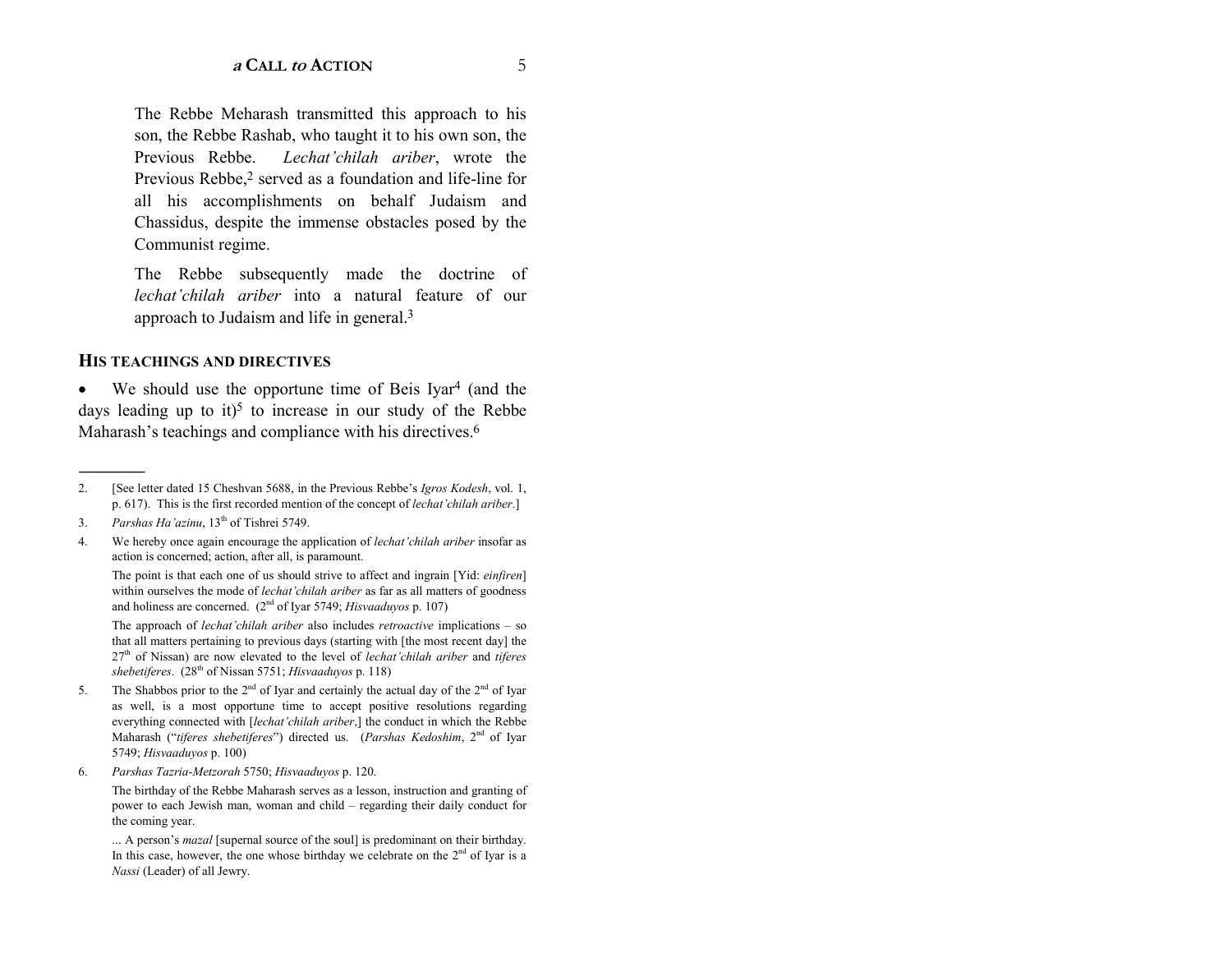The Rebbe Meharash transmitted this approach to his son, the Rebbe Rashab, who taught it to his own son, the Previous Rebbe. *Lechat'chilah ariber*, wrote the Previous Rebbe,<sup>2</sup> served as a foundation and life-line for all his accomplishments on behalf Judaism and Chassidus, despite the immense obstacles posed by the Communist regime.

The Rebbe subsequently made the doctrine of *lechat'chilah ariber* into a natural feature of our approach to Judaism and life in general.3

#### **HIS TEACHINGS AND DIRECTIVES**

•We should use the opportune time of Beis Iyar<sup>4</sup> (and the days leading up to it)<sup>5</sup> to increase in our study of the Rebbe Maharash's teachings and compliance with his directives.<sup>6</sup>

------------------------------------------------

The point is that each one of us should strive to affect and ingrain [Yid: *einfiren*] within ourselves the mode of *lechat'chilah ariber* as far as all matters of goodness and holiness are concerned. (2nd of Iyar 5749; *Hisvaaduyos* p. 107)

The approach of *lechat'chilah ariber* also includes *retroactive* implications – so that all matters pertaining to previous days (starting with [the most recent day] the 27<sup>th</sup> of Nissan) are now elevated to the level of *lechat'chilah ariber* and *tiferes shebetiferes*. (28th of Nissan 5751; *Hisvaaduyos* p. 118)

- 5. The Shabbos prior to the  $2^{nd}$  of Iyar and certainly the actual day of the  $2^{nd}$  of Iyar as well, is a most opportune time to accept positive resolutions regarding everything connected with [*lechat'chilah ariber*,] the conduct in which the Rebbe Maharash ("tiferes shebetiferes") directed us. (Parshas Kedoshim, 2<sup>nd</sup> of Iyar 5749; *Hisvaaduyos* p. 100)
- 6. *Parshas Tazria-Metzorah* 5750; *Hisvaaduyos* p. 120.

The birthday of the Rebbe Maharash serves as a lesson, instruction and granting of power to each Jewish man, woman and child – regarding their daily conduct for the coming year.

... A person's *mazal* [supernal source of the soul] is predominant on their birthday. In this case, however, the one whose birthday we celebrate on the  $2<sup>nd</sup>$  of Iyar is a *Nassi* (Leader) of all Jewry.

<sup>2. [</sup>See letter dated 15 Cheshvan 5688, in the Previous Rebbeís *Igros Kodesh*, vol. 1, p. 617). This is the first recorded mention of the concept of *lechat'chilah ariber*.

<sup>3.</sup> *Parshas Ha'azinu*, 13<sup>th</sup> of Tishrei 5749.

<sup>4.</sup> We hereby once again encourage the application of *lechatíchilah ariber* insofar as action is concerned; action, after all, is paramount.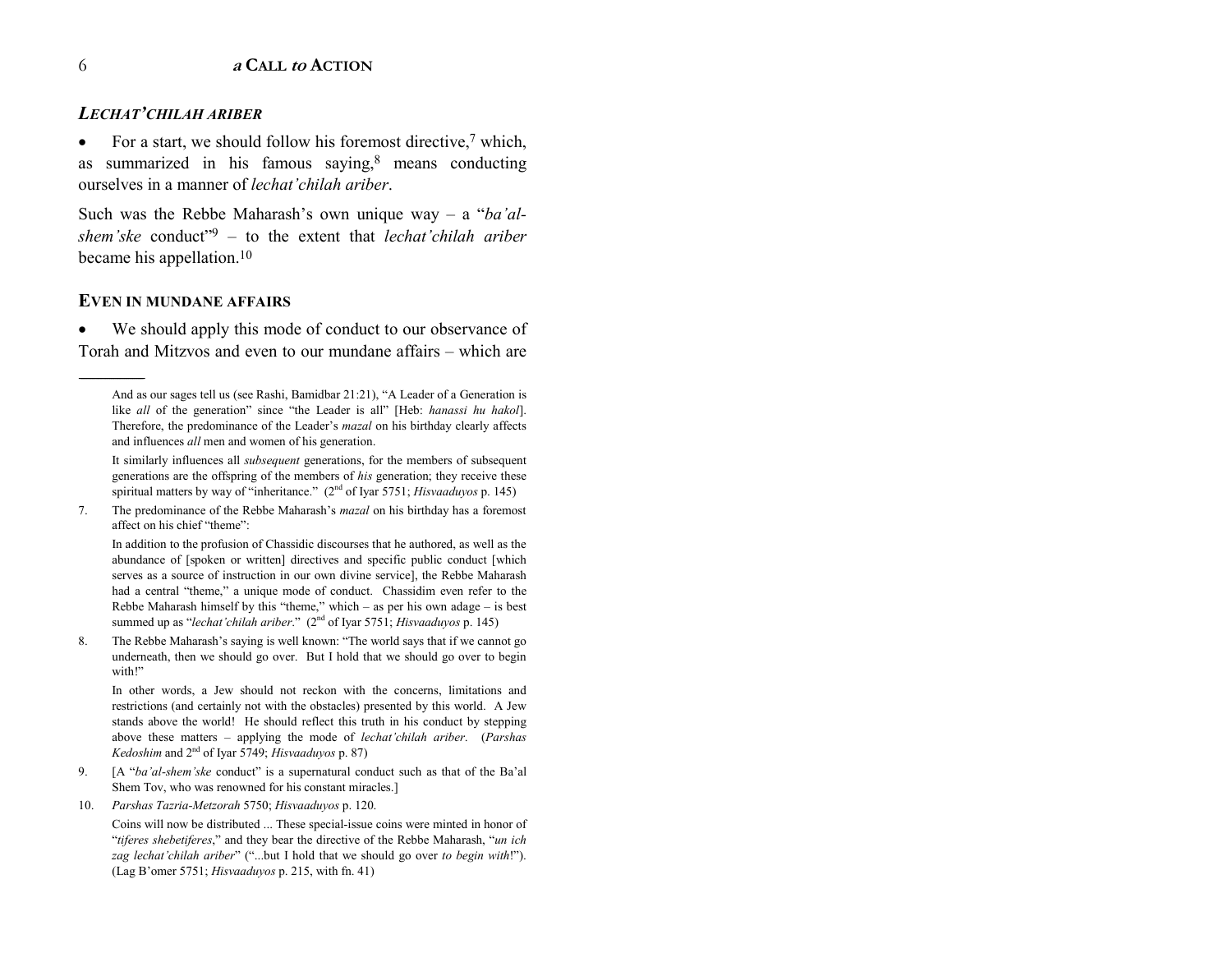#### *LECHATíCHILAH ARIBER*

•For a start, we should follow his foremost directive,<sup>7</sup> which, as summarized in his famous saying, $8$  means conducting ourselves in a manner of *lechat'chilah ariber*.

Such was the Rebbe Maharash's own unique way – a "*ba'alshem'ske* conduct<sup>79</sup> – to the extent that *lechat'chilah ariber* became his appellation.<sup>10</sup>

#### **EVEN IN MUNDANE AFFAIRS**

------------------------------------------------

• We should apply this mode of conduct to our observance of Torah and Mitzvos and even to our mundane affairs – which are

It similarly influences all *subsequent* generations, for the members of subsequent generations are the offspring of the members of *his* generation; they receive these spiritual matters by way of "inheritance."  $(2<sup>nd</sup>$  of Iyar 5751; *Hisvaaduyos* p. 145)

7. The predominance of the Rebbe Maharash's *mazal* on his birthday has a foremost affect on his chief "theme":

In addition to the profusion of Chassidic discourses that he authored, as well as the abundance of [spoken or written] directives and specific public conduct [which serves as a source of instruction in our own divine service], the Rebbe Maharash had a central "theme," a unique mode of conduct. Chassidim even refer to the Rebbe Maharash himself by this "theme," which  $-$  as per his own adage  $-$  is best summed up as "*lechat'chilah ariber*." (2<sup>nd</sup> of Iyar 5751; *Hisvaaduyos* p. 145)

8. The Rebbe Maharash's saying is well known: "The world says that if we cannot go underneath, then we should go over. But I hold that we should go over to begin with!"

In other words, a Jew should not reckon with the concerns, limitations and restrictions (and certainly not with the obstacles) presented by this world. A Jew stands above the world! He should reflect this truth in his conduct by stepping above these matters – applying the mode of *lechat'chilah ariber*. (*Parshas Kedoshim* and 2nd of Iyar 5749; *Hisvaaduyos* p. 87)

- 9. [A "ba'al-shem'ske conduct" is a supernatural conduct such as that of the Ba'al Shem Tov, who was renowned for his constant miracles.]
- 10. *Parshas Tazria-Metzorah* 5750; *Hisvaaduyos* p. 120.

Coins will now be distributed ... These special-issue coins were minted in honor of *itiferes shebetiferes*," and they bear the directive of the Rebbe Maharash, "*un ich* zag lechat'chilah ariber" ("...but I hold that we should go over to begin with!"). (Lag Bíomer 5751; *Hisvaaduyos* p. 215, with fn. 41)

And as our sages tell us (see Rashi, Bamidbar 21:21), "A Leader of a Generation is like all of the generation" since "the Leader is all" [Heb: *hanassi hu hakol*]. Therefore, the predominance of the Leader's *mazal* on his birthday clearly affects and influences *all* men and women of his generation.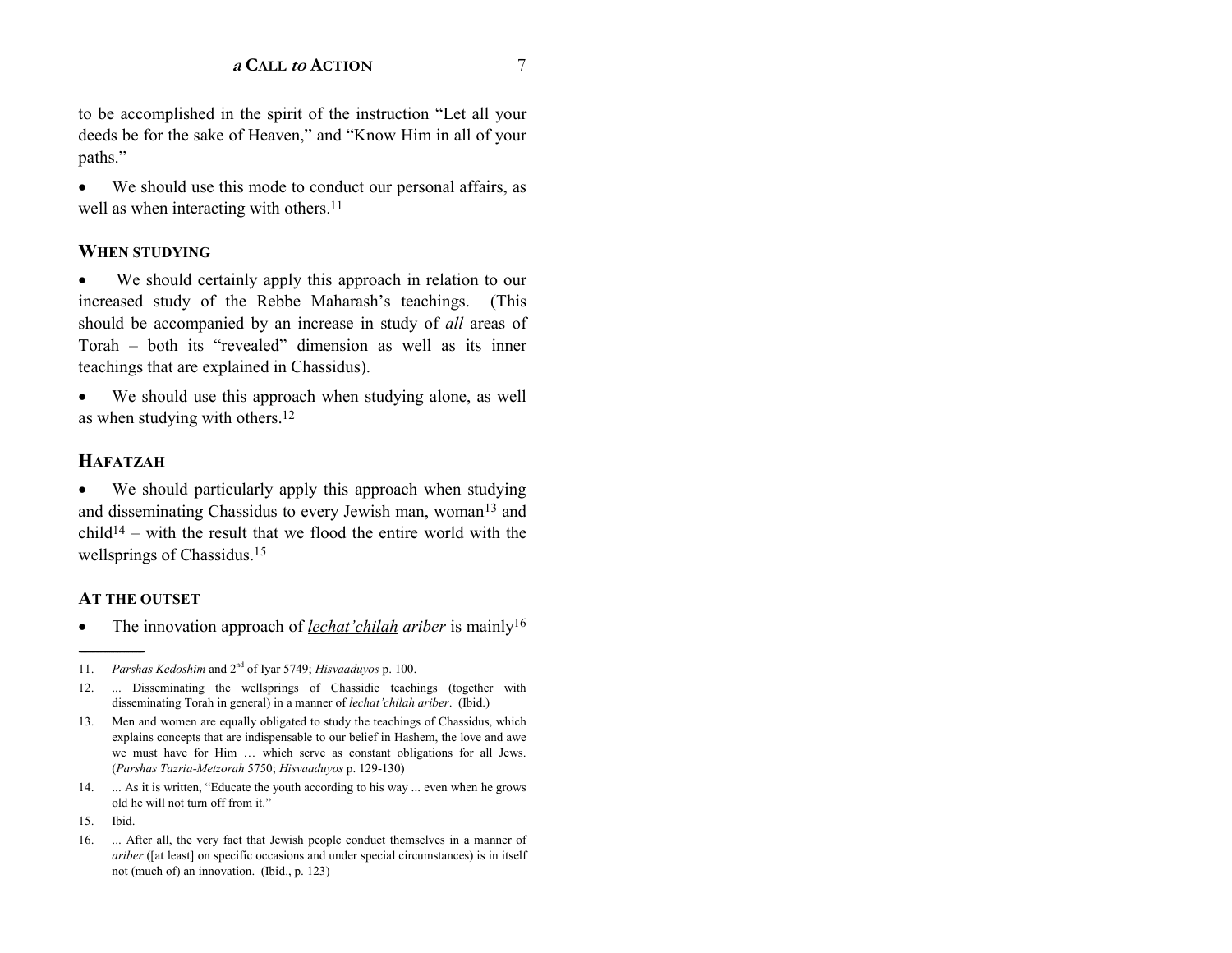to be accomplished in the spirit of the instruction "Let all your deeds be for the sake of Heaven," and "Know Him in all of your paths."

• We should use this mode to conduct our personal affairs, as well as when interacting with others.<sup>11</sup>

#### **WHEN STUDYING**

We should certainly apply this approach in relation to our increased study of the Rebbe Maharash's teachings. (This should be accompanied by an increase in study of *all* areas of Torah – both its "revealed" dimension as well as its inner teachings that are explained in Chassidus).

• We should use this approach when studying alone, as well as when studying with others.12

#### **HAFATZAH**

•We should particularly apply this approach when studying and disseminating Chassidus to every Jewish man, woman<sup>13</sup> and  $child<sup>14</sup>$  – with the result that we flood the entire world with the wellsprings of Chassidus.15

#### **AT THE OUTSET**

•The innovation approach of *lechat'chilah ariber* is mainly<sup>16</sup>

------------------------------------------------

<sup>11.</sup> *Parshas Kedoshim* and 2nd of Iyar 5749; *Hisvaaduyos* p. 100.

<sup>12. ...</sup> Disseminating the wellsprings of Chassidic teachings (together with disseminating Torah in general) in a manner of *lechat'chilah ariber*. (Ibid.)

<sup>13.</sup> Men and women are equally obligated to study the teachings of Chassidus, which explains concepts that are indispensable to our belief in Hashem, the love and awe we must have for Him ... which serve as constant obligations for all Jews. (*Parshas Tazria-Metzorah* 5750; *Hisvaaduyos* p. 129-130)

<sup>14. ...</sup> As it is written, "Educate the youth according to his way ... even when he grows old he will not turn off from it."

<sup>15.</sup> Ibid.

<sup>16. ...</sup> After all, the very fact that Jewish people conduct themselves in a manner of *ariber* ([at least] on specific occasions and under special circumstances) is in itself not (much of) an innovation. (Ibid., p. 123)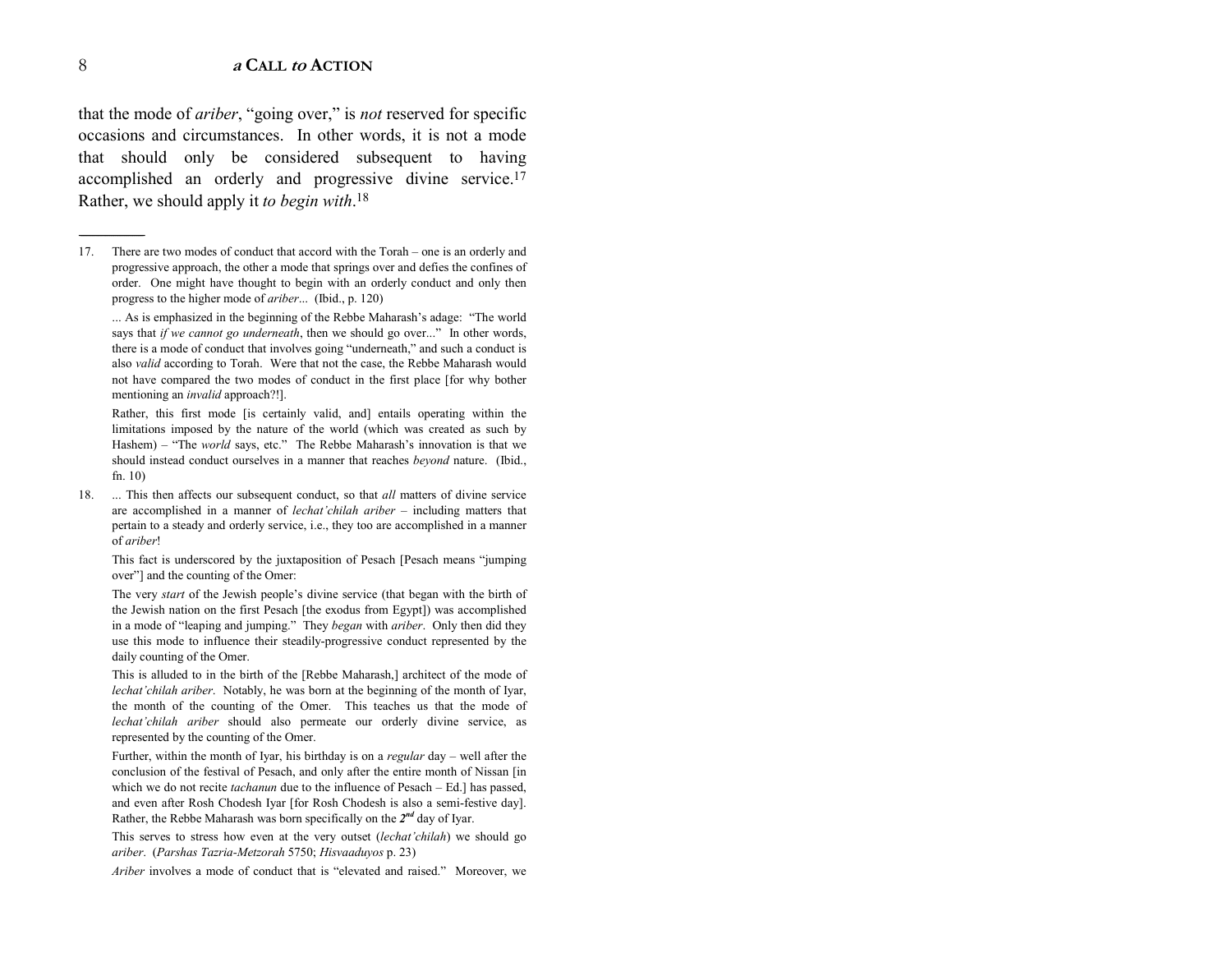that the mode of *ariber*, "going over," is *not* reserved for specific occasions and circumstances. In other words, it is not a mode that should only be considered subsequent to having accomplished an orderly and progressive divine service.17 Rather, we should apply it *to begin with*.<sup>18</sup>

17. There are two modes of conduct that accord with the Torah – one is an orderly and progressive approach, the other a mode that springs over and defies the confines of order. One might have thought to begin with an orderly conduct and only then progress to the higher mode of *ariber*... (Ibid., p. 120)

... As is emphasized in the beginning of the Rebbe Maharash's adage: "The world says that *if we cannot go underneath*, then we should go over..." In other words, there is a mode of conduct that involves going "underneath," and such a conduct is also *valid* according to Torah. Were that not the case, the Rebbe Maharash would not have compared the two modes of conduct in the first place [for why bother mentioning an *invalid* approach?!].

Rather, this first mode [is certainly valid, and] entails operating within the limitations imposed by the nature of the world (which was created as such by Hashem) – "The *world* says, etc." The Rebbe Maharash's innovation is that we should instead conduct ourselves in a manner that reaches *beyond* nature. (Ibid., fn. 10)

18. ... This then affects our subsequent conduct, so that *all* matters of divine service are accomplished in a manner of *lechat'chilah ariber* – including matters that pertain to a steady and orderly service, i.e., they too are accomplished in a manner of *ariber*!

This fact is underscored by the juxtaposition of Pesach [Pesach means "jumping over"] and the counting of the Omer:

The very *start* of the Jewish people's divine service (that began with the birth of the Jewish nation on the first Pesach [the exodus from Egypt]) was accomplished in a mode of "leaping and jumping." They *began* with *ariber*. Only then did they use this mode to influence their steadily-progressive conduct represented by the daily counting of the Omer.

This is alluded to in the birth of the [Rebbe Maharash,] architect of the mode of *lechat'chilah ariber.* Notably, he was born at the beginning of the month of Iyar, the month of the counting of the Omer. This teaches us that the mode of lechat'chilah ariber should also permeate our orderly divine service, as represented by the counting of the Omer.

Further, within the month of Iyar, his birthday is on a *regular* day – well after the conclusion of the festival of Pesach, and only after the entire month of Nissan [in which we do not recite *tachanun* due to the influence of Pesach - Ed.] has passed, and even after Rosh Chodesh Iyar [for Rosh Chodesh is also a semi-festive day]. Rather, the Rebbe Maharash was born specifically on the *2n<sup>d</sup>* day of Iyar.

This serves to stress how even at the very outset *(lechat'chilah*) we should go *ariber*. (*Parshas Tazria-Metzorah* 5750; *Hisvaaduyos* p. 23)

*Ariber* involves a mode of conduct that is "elevated and raised." Moreover, we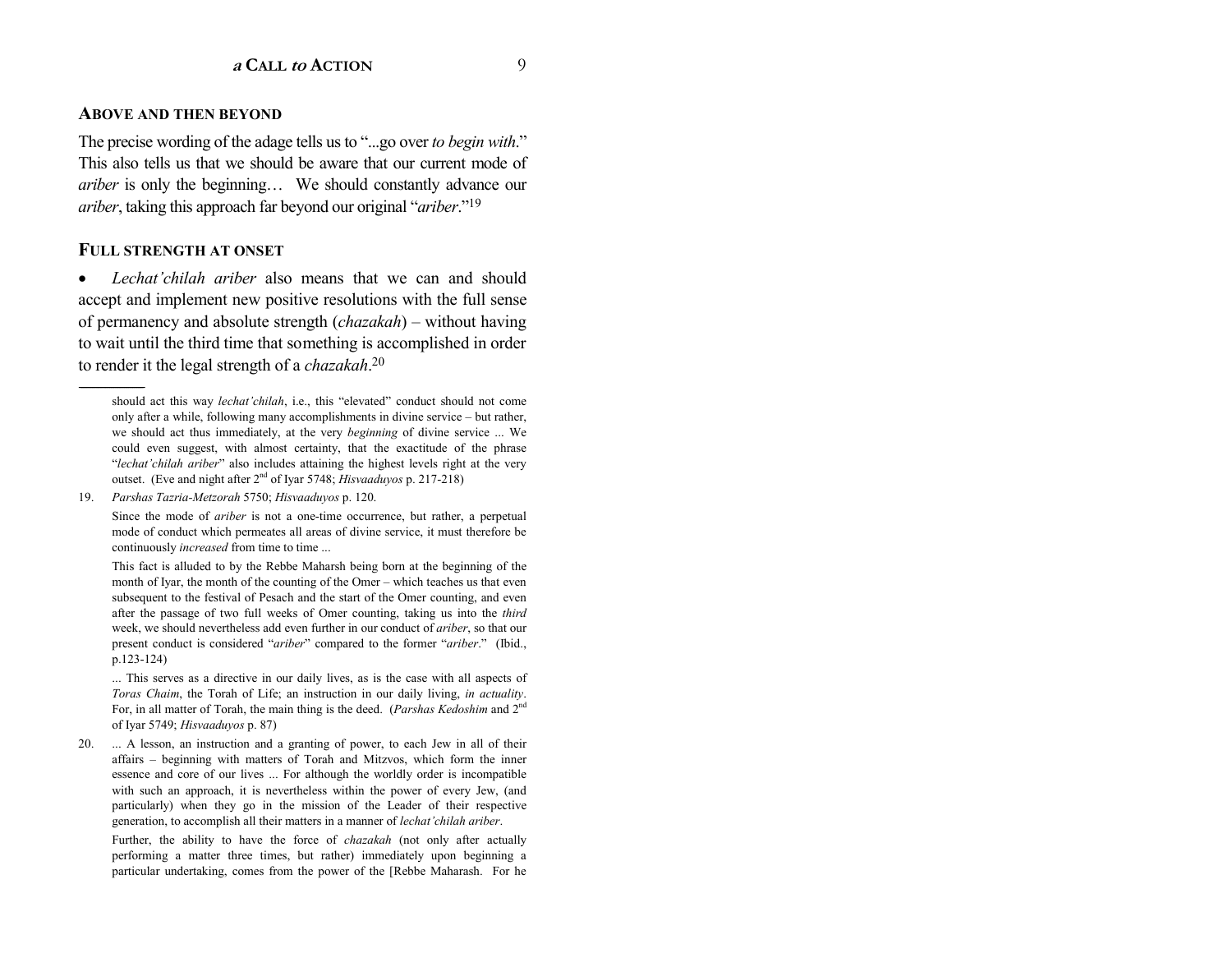#### **ABOVE AND THEN BEYOND**

The precise wording of the adage tells us to "...go over *to begin with*." This also tells us that we should be aware that our current mode of *ariber* is only the beginning... We should constantly advance our *ariber*, taking this approach far beyond our original "*ariber*."<sup>19</sup>

#### **FULL STRENGTH AT ONSET**

------------------------------------------------

•Lechat'chilah ariber also means that we can and should accept and implement new positive resolutions with the full sense of permanency and absolute strength *(chazakah)* – without having to wait until the third time that something is accomplished in order to render it the legal strength of a *chazakah*.<sup>20</sup>

Since the mode of *ariber* is not a one-time occurrence, but rather, a perpetual mode of conduct which permeates all areas of divine service, it must therefore be continuously *increased* from time to time ...

This fact is alluded to by the Rebbe Maharsh being born at the beginning of the month of Iyar, the month of the counting of the Omer – which teaches us that even subsequent to the festival of Pesach and the start of the Omer counting, and even after the passage of two full weeks of Omer counting, taking us into the *third* week, we should nevertheless add even further in our conduct of *ariber*, so that our present conduct is considered "*ariber*" compared to the former "*ariber*." (Ibid., p.123-124)

... This serves as a directive in our daily lives, as is the case with all aspects of *Toras Chaim*, the Torah of Life; an instruction in our daily living, *in actuality*. For, in all matter of Torah, the main thing is the deed. (*Parshas Kedoshim* and 2n<sup>d</sup> of Iyar 5749; *Hisvaaduyos* p. 87)

20. ... A lesson, an instruction and a granting of power, to each Jew in all of their affairs – beginning with matters of Torah and Mitzvos, which form the inner essence and core of our lives ... For although the worldly order is incompatible with such an approach, it is nevertheless within the power of every Jew, (and particularly) when they go in the mission of the Leader of their respective generation, to accomplish all their matters in a manner of *lechat'chilah ariber*.

Further, the ability to have the force of *chazakah* (not only after actually performing a matter three times, but rather) immediately upon beginning a particular undertaking, comes from the power of the [Rebbe Maharash. For he

should act this way *lechat'chilah*, i.e., this "elevated" conduct should not come only after a while, following many accomplishments in divine service  $-$  but rather, we should act thus immediately, at the very *beginning* of divine service ... We could even suggest, with almost certainty, that the exactitude of the phrase *<sup>'</sup>lechat'chilah ariber*" also includes attaining the highest levels right at the very outset. (Eve and night after 2nd of Iyar 5748; *Hisvaaduyos* p. 217-218)

<sup>19.</sup> *Parshas Tazria-Metzorah* 5750; *Hisvaaduyos* p. 120.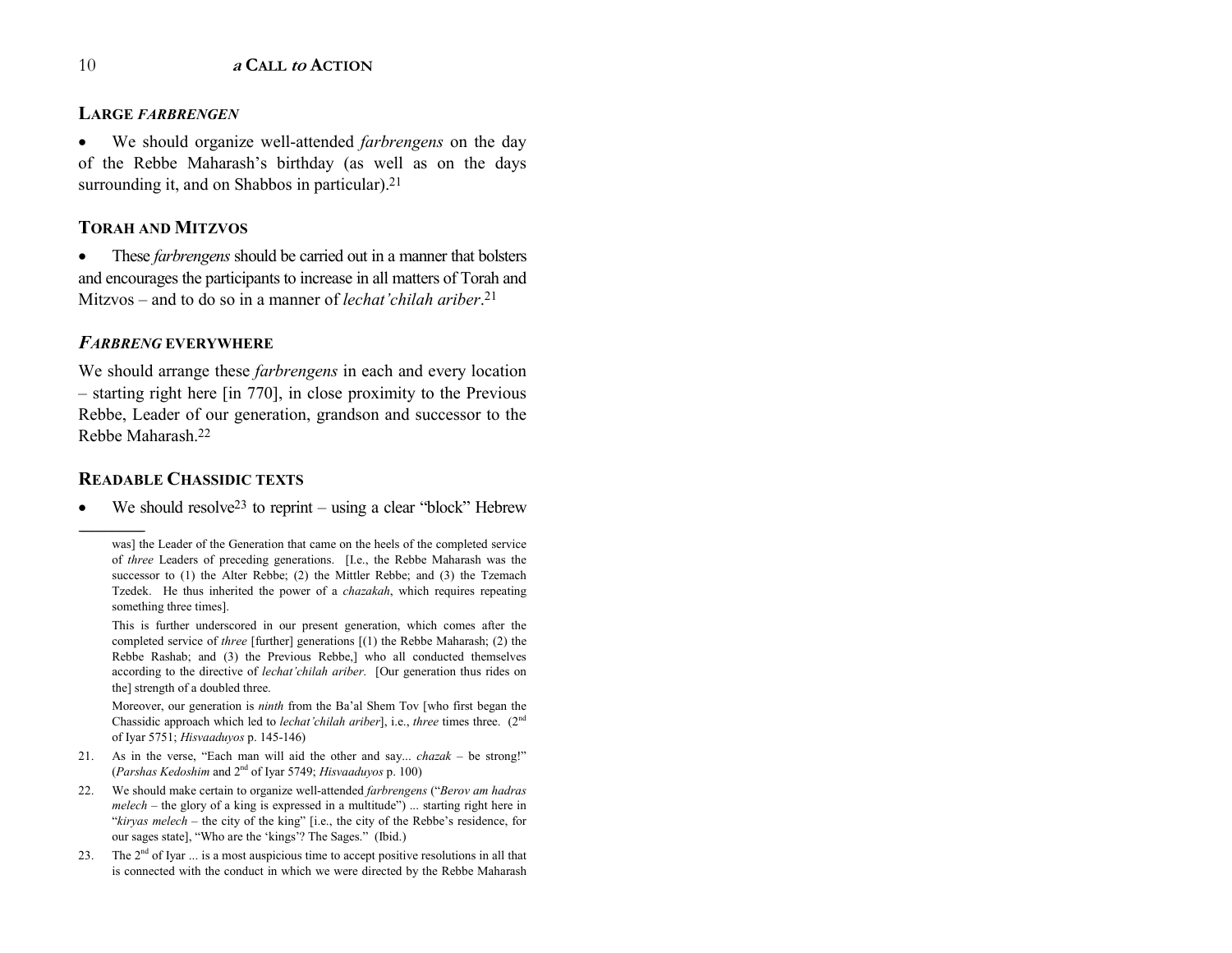#### **LARGE** *FARBRENGEN*

• We should organize well-attended *farbrengens* on the day of the Rebbe Maharash's birthday (as well as on the days surrounding it, and on Shabbos in particular).<sup>21</sup>

#### **TORAH AND MITZVOS**

• These *farbrengens* should be carried out in a manner that bolsters and encourages the participants to increase in all matters of Torah and Mitzvos – and to do so in a manner of *lechat'chilah ariber*.<sup>21</sup>

#### *FARBRENG* **EVERYWHERE**

We should arrange these *farbrengens* in each and every location  $-$  starting right here [in 770], in close proximity to the Previous Rebbe, Leader of our generation, grandson and successor to the Rebbe Maharash.22

#### **READABLE CHASSIDIC TEXTS**

------------------------------------------------

•We should resolve<sup>23</sup> to reprint  $-$  using a clear "block" Hebrew

This is further underscored in our present generation, which comes after the completed service of *three* [further] generations [(1) the Rebbe Maharash; (2) the Rebbe Rashab; and (3) the Previous Rebbe,] who all conducted themselves according to the directive of *lechat'chilah ariber*. [Our generation thus rides on the] strength of a doubled three.

Moreover, our generation is *ninth* from the Ba'al Shem Tov [who first began the Chassidic approach which led to *lechat'chilah ariber*], i.e., *three* times three. (2<sup>nd</sup> of Iyar 5751; *Hisvaaduyos* p. 145-146)

- 21. As in the verse, "Each man will aid the other and say...  $chazak be$  strong!" (*Parshas Kedoshim* and 2nd of Iyar 5749; *Hisvaaduyos* p. 100)
- 22. We should make certain to organize well-attended *farbrengens* ("*Berov am hadras melech* – the glory of a king is expressed in a multitude") ... starting right here in *<sup>''kiryas melech* – the city of the king<sup>"</sup> [i.e., the city of the Rebbe's residence, for</sup> our sages state], "Who are the 'kings'? The Sages." (Ibid.)
- 23. The  $2<sup>nd</sup>$  of Iyar  $\dots$  is a most auspicious time to accept positive resolutions in all that is connected with the conduct in which we were directed by the Rebbe Maharash

was] the Leader of the Generation that came on the heels of the completed service of *three* Leaders of preceding generations. [I.e., the Rebbe Maharash was the successor to (1) the Alter Rebbe; (2) the Mittler Rebbe; and (3) the Tzemach Tzedek. He thus inherited the power of a *chazakah*, which requires repeating something three times].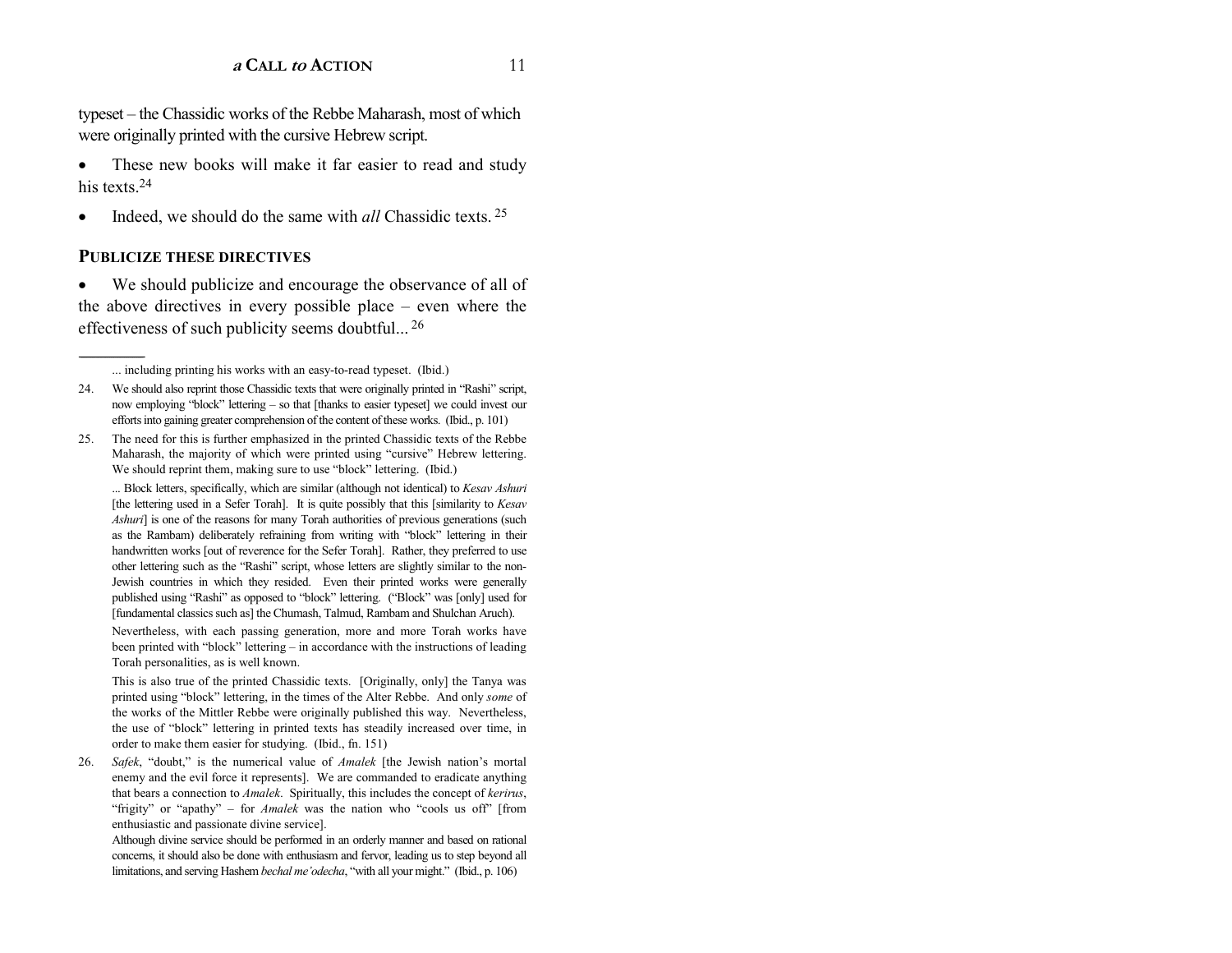typeset – the Chassidic works of the Rebbe Maharash, most of which were originally printed with the cursive Hebrew script.

• These new books will make it far easier to read and study his texts 24

•Indeed, we should do the same with *all* Chassidic texts. 25

#### **PUBLICIZE THESE DIRECTIVES**

• We should publicize and encourage the observance of all of the above directives in every possible place  $-$  even where the effectiveness of such publicity seems doubtful... 26

25. The need for this is further emphasized in the printed Chassidic texts of the Rebbe Maharash, the majority of which were printed using "cursive" Hebrew lettering. We should reprint them, making sure to use "block" lettering. (Ibid.)

... Block letters, specifically, which are similar (although not identical) to *Kesav Ashuri*  [the lettering used in a Sefer Torah]. It is quite possibly that this [similarity to *Kesav Ashuri*] is one of the reasons for many Torah authorities of previous generations (such as the Rambam) deliberately refraining from writing with "block" lettering in their handwritten works [out of reverence for the Sefer Torah]. Rather, they preferred to use other lettering such as the "Rashi" script, whose letters are slightly similar to the non-Jewish countries in which they resided. Even their printed works were generally published using "Rashi" as opposed to "block" lettering. ("Block" was [only] used for [fundamental classics such as] the Chumash, Talmud, Rambam and Shulchan Aruch).

Nevertheless, with each passing generation, more and more Torah works have been printed with "block" lettering – in accordance with the instructions of leading Torah personalities, as is well known.

This is also true of the printed Chassidic texts. [Originally, only] the Tanya was printed using "block" lettering, in the times of the Alter Rebbe. And only *some* of the works of the Mittler Rebbe were originally published this way. Nevertheless, the use of "block" lettering in printed texts has steadily increased over time, in order to make them easier for studying. (Ibid., fn. 151)

26. *Safek*, "doubt," is the numerical value of *Amalek* [the Jewish nation's mortal enemy and the evil force it represents]. We are commanded to eradicate anything that bears a connection to *Amalek*. Spiritually, this includes the concept of *kerirus*, "frigity" or "apathy" - for *Amalek* was the nation who "cools us off" [from enthusiastic and passionate divine service].

Although divine service should be performed in an orderly manner and based on rational concerns, it should also be done with enthusiasm and fervor, leading us to step beyond all limitations, and serving Hashem *bechal me'odecha*, "with all your might." (Ibid., p. 106)

<sup>...</sup> including printing his works with an easy-to-read typeset. (Ibid.)

<sup>24.</sup> We should also reprint those Chassidic texts that were originally printed in "Rashi" script, now employing "block" lettering - so that [thanks to easier typeset] we could invest our efforts into gaining greater comprehension of the content of these works. (Ibid., p. 101)